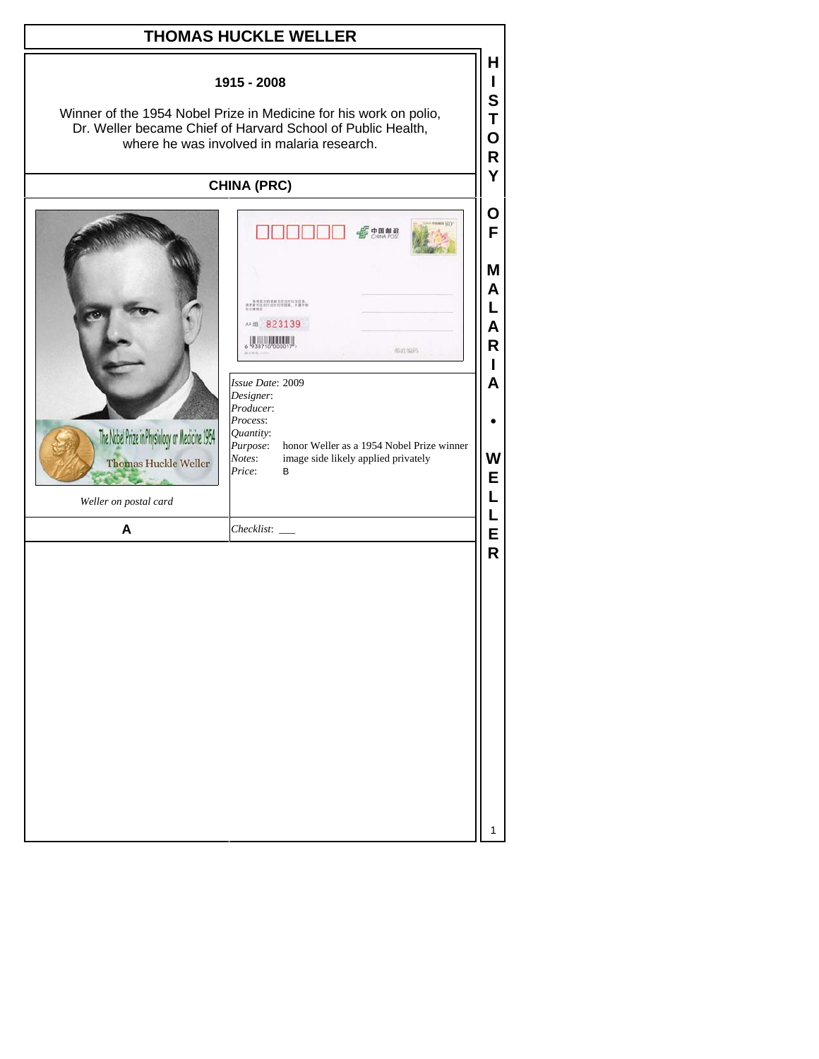| <b>THOMAS HUCKLE WELLER</b>                                                                                                                                                                   |                                                                                                                                                                                                                                                                                                  |  |
|-----------------------------------------------------------------------------------------------------------------------------------------------------------------------------------------------|--------------------------------------------------------------------------------------------------------------------------------------------------------------------------------------------------------------------------------------------------------------------------------------------------|--|
| 1915 - 2008<br>Winner of the 1954 Nobel Prize in Medicine for his work on polio,<br>Dr. Weller became Chief of Harvard School of Public Health,<br>where he was involved in malaria research. |                                                                                                                                                                                                                                                                                                  |  |
| <b>CHINA (PRC)</b>                                                                                                                                                                            |                                                                                                                                                                                                                                                                                                  |  |
| The Nobel Prize in Physiology or Medicine 1954<br>Thomas Huckle Weller<br>Weller on postal card                                                                                               | 中国邮政<br>М<br>本用技术的算算为空白可打印法M。<br>消费者可以自行进只行印法第, 非遵守规<br>AF组 823139<br>6938710000017<br>师政编码<br>Issue Date: 2009<br>Designer:<br>Producer:<br>Process:<br>Quantity:<br>honor Weller as a 1954 Nobel Prize winner<br>Purpose:<br>W<br>Notes:<br>image side likely applied privately<br>Price:<br>B |  |
| A                                                                                                                                                                                             | $Checklist:$ $\_\_$                                                                                                                                                                                                                                                                              |  |
|                                                                                                                                                                                               |                                                                                                                                                                                                                                                                                                  |  |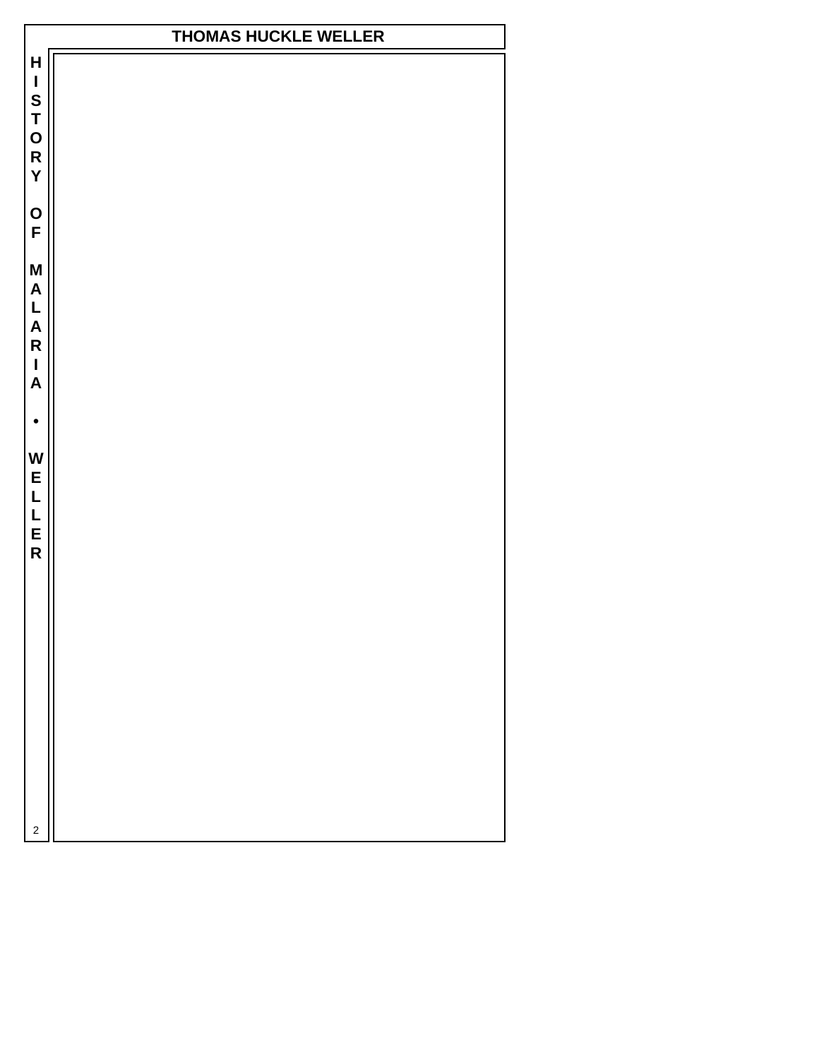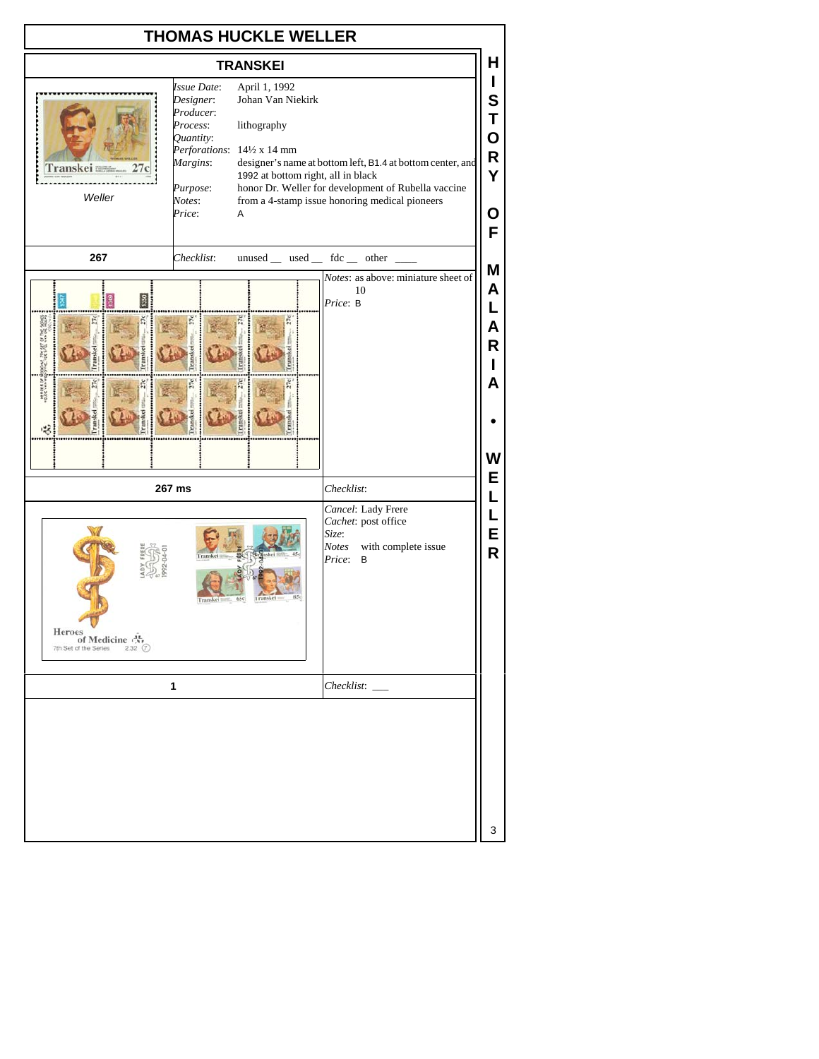| <b>THOMAS HUCKLE WELLER</b>                                                                                                                                                                                                                              |                                                                                                                                                                                                                         |  |
|----------------------------------------------------------------------------------------------------------------------------------------------------------------------------------------------------------------------------------------------------------|-------------------------------------------------------------------------------------------------------------------------------------------------------------------------------------------------------------------------|--|
| <b>TRANSKEI</b>                                                                                                                                                                                                                                          | н                                                                                                                                                                                                                       |  |
| April 1, 1992<br><b>Issue Date:</b><br>Johan Van Niekirk<br>Designer:<br>Producer:<br>Process:<br>lithography<br>Quantity:<br>Perforations: 14½ x 14 mm<br>Margins:<br>1992 at bottom right, all in black<br>Purpose:<br>Weller<br>Notes:<br>Price:<br>Α | S<br>Τ<br>O<br>$\mathsf{R}% _{T}$<br>designer's name at bottom left, B1.4 at bottom center, and<br>Y<br>honor Dr. Weller for development of Rubella vaccine<br>from a 4-stamp issue honoring medical pioneers<br>O<br>F |  |
| 267<br>Checklist:<br>unused __ used __ fdc __ other                                                                                                                                                                                                      | M                                                                                                                                                                                                                       |  |
|                                                                                                                                                                                                                                                          | Notes: as above: miniature sheet of<br>A<br>10<br>Price: B<br>L<br>Α<br>R<br>A<br>w                                                                                                                                     |  |
| 267 ms                                                                                                                                                                                                                                                   | E<br>Checklist:                                                                                                                                                                                                         |  |
| Cancel: Lady Frere<br>Cachet: post office<br>Size:<br><b>Notes</b><br>with complete issue<br>Price:<br>B<br>Heroes<br>of Medicine $\mathcal{F}_r$<br>of the Series 2.32 $\circledcirc$<br>7th Set of the Series                                          |                                                                                                                                                                                                                         |  |
| 1                                                                                                                                                                                                                                                        | Checklist:                                                                                                                                                                                                              |  |
|                                                                                                                                                                                                                                                          | 3                                                                                                                                                                                                                       |  |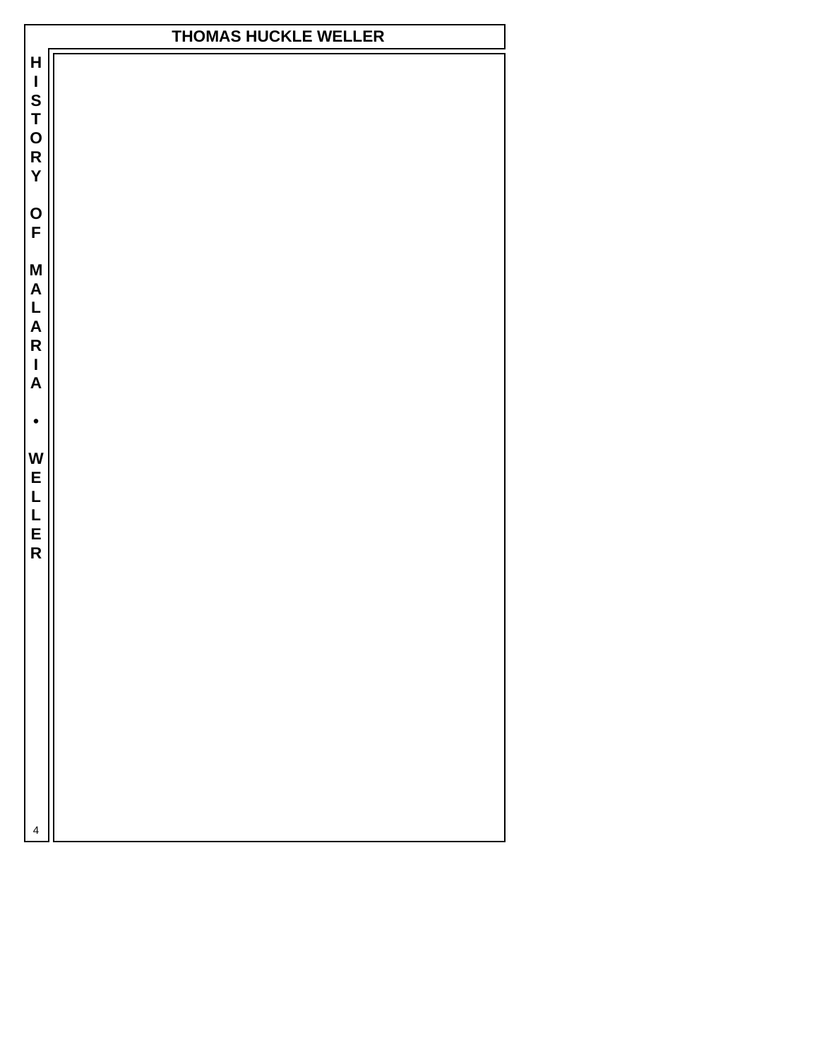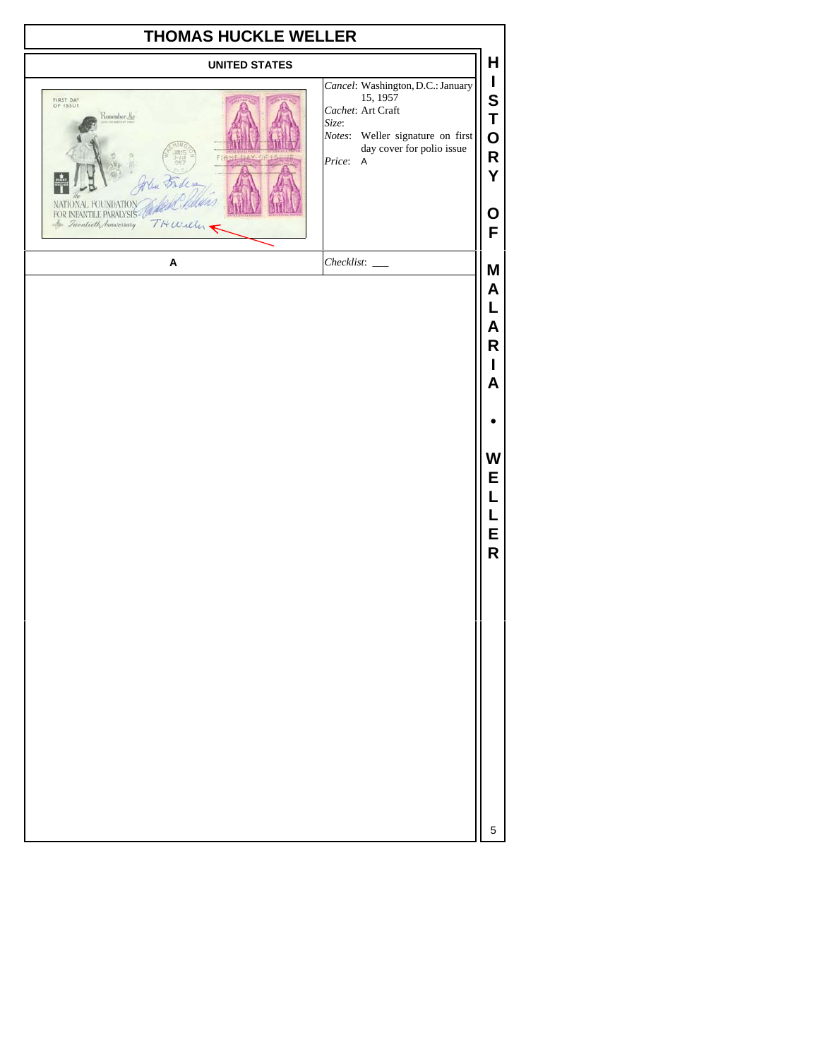| Н<br><b>UNITED STATES</b><br>$\mathbf I$<br>Cancel: Washington, D.C.: January<br>15, 1957<br>S<br>FIRST DAY<br>OF ISSUE<br>Cachet: Art Craft<br>Remember Ma<br>Τ<br>Size:<br>Notes: Weller signature on first<br>O<br>day cover for polio issue<br>R<br>EB<br>Price: A<br>Υ<br>Yea V<br>NATIONAL FOU<br>O<br>FOR INFANTILE PARALYSIS | <b>THOMAS HUCKLE WELLER</b>          |  |  |  |
|--------------------------------------------------------------------------------------------------------------------------------------------------------------------------------------------------------------------------------------------------------------------------------------------------------------------------------------|--------------------------------------|--|--|--|
|                                                                                                                                                                                                                                                                                                                                      |                                      |  |  |  |
|                                                                                                                                                                                                                                                                                                                                      |                                      |  |  |  |
| F                                                                                                                                                                                                                                                                                                                                    | A. Iwentieth Inniversary<br>THWiller |  |  |  |
| A<br>M                                                                                                                                                                                                                                                                                                                               |                                      |  |  |  |
| Α<br>L<br>Α<br>R<br>A                                                                                                                                                                                                                                                                                                                |                                      |  |  |  |
|                                                                                                                                                                                                                                                                                                                                      |                                      |  |  |  |
| W<br>Е<br>Е<br>R                                                                                                                                                                                                                                                                                                                     |                                      |  |  |  |